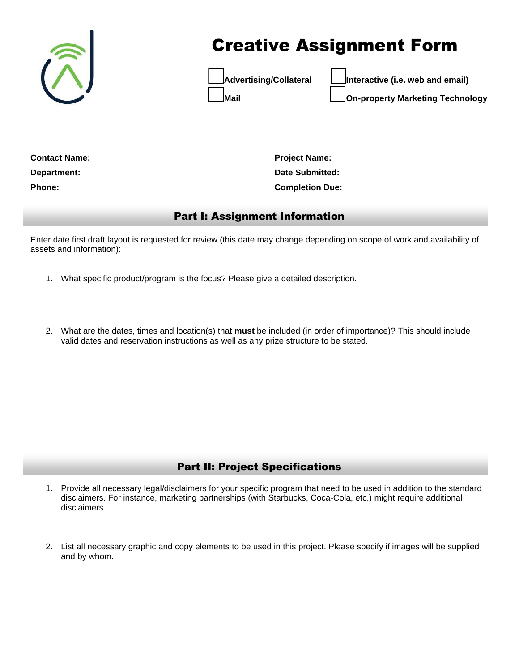

# Creative Assignment Form



**Advertising/Collateral Interactive (i.e. web and email) Mail On-property Marketing Technology**

**Contact Name: Department: Phone:** 

**Project Name: Date Submitted: Completion Due:** 

### Part I: Assignment Information

Enter date first draft layout is requested for review (this date may change depending on scope of work and availability of assets and information):

- 1. What specific product/program is the focus? Please give a detailed description.
- 2. What are the dates, times and location(s) that **must** be included (in order of importance)? This should include valid dates and reservation instructions as well as any prize structure to be stated.

## Part II: Project Specifications

- 1. Provide all necessary legal/disclaimers for your specific program that need to be used in addition to the standard disclaimers. For instance, marketing partnerships (with Starbucks, Coca-Cola, etc.) might require additional disclaimers.
- 2. List all necessary graphic and copy elements to be used in this project. Please specify if images will be supplied and by whom.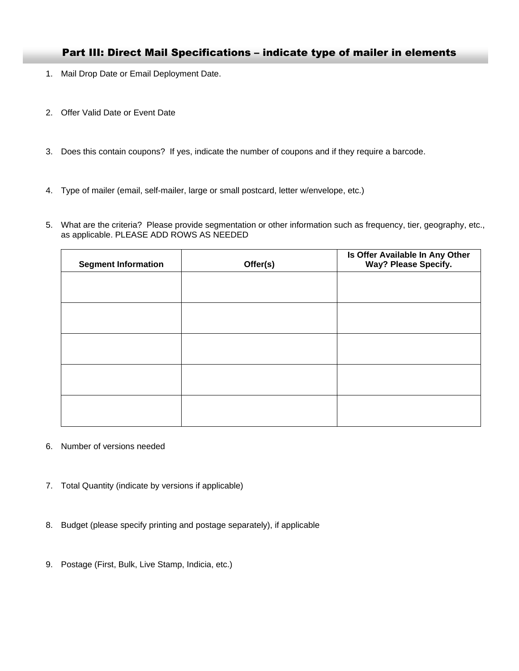#### Part III: Direct Mail Specifications – indicate type of mailer in elements

- 1. Mail Drop Date or Email Deployment Date.
- 2. Offer Valid Date or Event Date
- 3. Does this contain coupons? If yes, indicate the number of coupons and if they require a barcode.
- 4. Type of mailer (email, self-mailer, large or small postcard, letter w/envelope, etc.)
- 5. What are the criteria? Please provide segmentation or other information such as frequency, tier, geography, etc., as applicable. PLEASE ADD ROWS AS NEEDED

| <b>Segment Information</b> | Offer(s) | Is Offer Available In Any Other<br>Way? Please Specify. |
|----------------------------|----------|---------------------------------------------------------|
|                            |          |                                                         |
|                            |          |                                                         |
|                            |          |                                                         |
|                            |          |                                                         |
|                            |          |                                                         |
|                            |          |                                                         |

- 6. Number of versions needed
- 7. Total Quantity (indicate by versions if applicable)
- 8. Budget (please specify printing and postage separately), if applicable
- 9. Postage (First, Bulk, Live Stamp, Indicia, etc.)